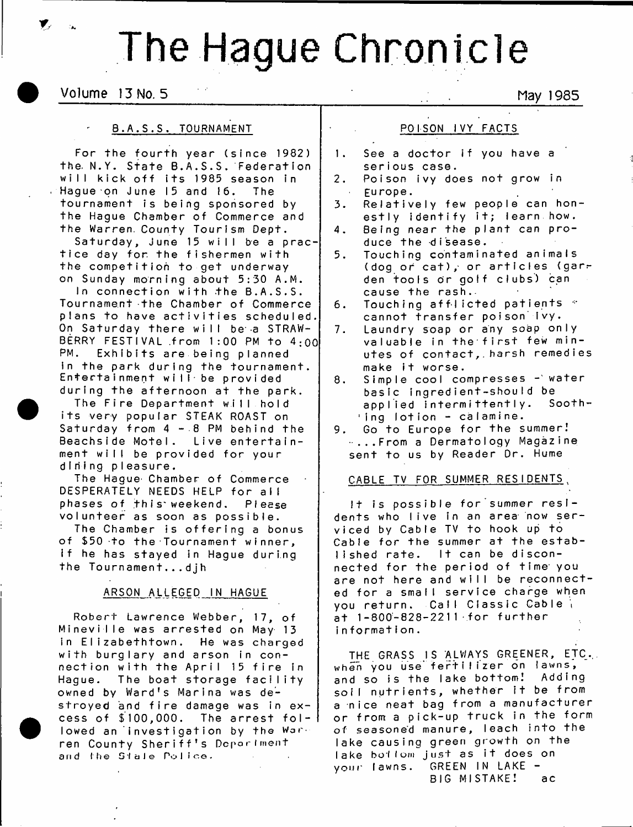# The Hague Chronicle

Volume 13 No. 5 May 1985

## B.A.S.S. TOURNAMENT

For the fourth year (since 1982) the N.Y. State B.A.S.S. Federation will kick off its 1985 season in  $\therefore$  Hague on June 15 and 16. The tournament is being sponsored by the Hague Chamber of Commerce and the Warren. County Tourism Dept.

Saturday, June 15 will be a practice day for the fishermen with the competition to get underway on Sunday morning about 5:30 A.M.

In connection with the B.A.S.S. Tournament the Chamber of Commerce plans to have activities scheduled. On Saturday there will be a STRAW-BERRY FESTIVAL from  $1:00$  PM to  $4:00$ <br>PM. Exhibits are being planned Exhibits are being planned in the park during the tournament. Entertainment will be provided during the afternoon at the park.

The Fire Department will hold its very popular STEAK ROAST on Saturday from  $4 - 8$  PM behind the Beachside Motel. Live entertainment will be provided for your dining pieasure.

The Hague' Chamber of Commerce DESPERATELY NEEDS HELP for all phases of this weekend. Please volunteer as soon as possible.

The Chamber is offering a bonus of \$50 to the Tournament winner, if he has stayed in Hague during the Tournament...dih

# ARSON ALLEGED IN HAGUE

Robert Lawrence Webber, 17, of Mineville was arrested on May 13 in Elizabethtown. He was charged with burglary and arson in connection with the April 15 fire in Hague. The boat storage facility owned by Ward's Marina was destroyed and fire damage was in excess of \$100,000. The arrest fol-l lowed an investigation by the Warren County Sheriff's Depariment and the Stale Police.

POISON IVY FACTS

- 1. See a doctor if you have a serious case.
- 2. Poison ivy does not grow in Europe.
- 3. Relatively few people can honestly identify it; learn how.
- 4. Being near the plant can produce the disease.
- 5. Touching contaminated animals (dog or cat), or articles (garden tools or golf clubs) can cause the rash.
- 6. Touching afflicted patients  $\degree$ cannot transfer poison ivy.
- 7. Laundry soap or any soap only valuable in the first few minutes of contact, harsh remedies make it worse.
- 8. Simple cool compresses water basic ingredient-shouId be applied intermittently. Sooth-  $^{\circ}$  ing lotion - calamine.
- 9. Go to Europe for the summer!  $\cdot$  ...From a Dermatology Magazine sent to us by Reader Dr. Hume

#### CABLE TV FOR SUMMER RESIDENTS,

 $1<sup>†</sup>$  is possible for summer residents who live in an area now serviced by Cab le TV to hook up to Cable for the summer at the estab $l$  ished rate. It can be disconnected for the period of time you are not here and will be reconnected for a small service charge when you return. Call Classic Cable at 1-800-828-2211 for further information.

THE GRASS IS ALWAYS GREENER, ETC. when you use fertilizer on lawns, and so is the lake bottom! Adding soil nutrients, whether it be from a nice neat bag from a manufacturer or from a pick-up truck in the form of seasoned manure, leach into the lake causing green growth on the lake bottom just as it does on your lawns. GREEN IN LAKE -BIG MISTAKE! ac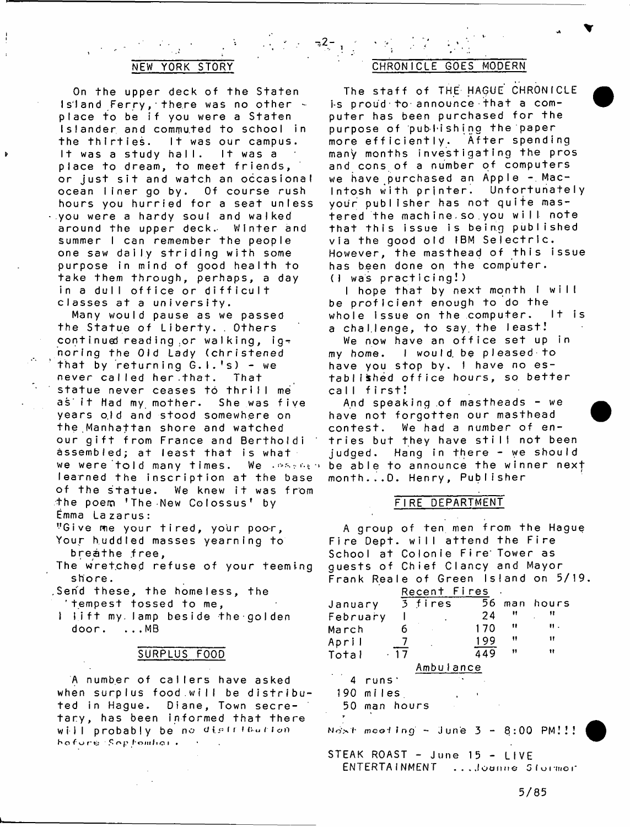## **NEW YORK STORY**

On the upper deck of the Staten Island Ferry, there was no other place to be if you were a Staten Islander and commuted to school in the thirties. It was our campus. It was a study hall. It was a place to dream, to meet friends, or just sit and watch an occasional ocean liner go by. Of course rush hours you hurried for a seat unless  $\cdot$  you were a hardy soul and walked around the upper deck. Winter and summer I can remember the people one saw daily striding with some purpose in mind of good health to take them through, perhaps, a day in a dull office or difficult classes at a university.

Many would pause as we passed the Statue of Liberty. . Others continued reading or walking, ignorfng the Old Lady (christened that by returning  $G.1.$ 's) - we never called her.that. That statue never ceases to thrill me as it Had my mother. She was five years old and stood somewhere on the Manhattan shore and watched our gift from France and Bertholdi assembled; at least that is what we were told many times. We assess learned the inscription at the base of the statue. We knew it was from the poem 'The New Colossus' by Emma Lazarus:

"Give me your tired, your poor, Your huddled masses yearning to breathe free,

- The wretched refuse of your teeming shore.
- Send these, the homeless, the 'tempest tossed to me,
- 1 lift my lamp beside the golden  $door. \dots MB$

# SURPLUS FOOD

A number of callers have asked when surplus food.will be distribu ted in Hague. Diane, Town secretary, has been informed that there will probably be no distribution h o fure Septomhor.

# CHRONICLE GOES MODERN

' 2" .

The staff of THE HAGUE CHRONICLE is proud to announce that a computer has been purchased for the purpose of publishing the paper more efficiently. After spending many months investigating the pros and cons of a number of computers we have purchased an Apple - Macintosh with printer. Unfortunately your publisher has not quite mastered the machine so you will note that this issue is being published via the good old IBM Selectric. However, the masthead of this issue has been done on the computer.  $(l$  was practicing!)

I hope that by next month I will be p roficient enough to do the whole issue on the computer. It is a challenge, to say the least!

We now have an office set up in my home. I would be pleased to have you stop by. I have no established office hours, so better call first!

And speaking of mastheads  $-$  we have not forgotten our masthead contest. We had a number of entries but they have still not been judged. Hang in there - we should be able to announce the winner next month...D. Henry, Publisher

#### FIRE DEPARTMENT

A group of ten men from the Hague Fire Dept, will attend the Fire School at Colonie Fire Tower as guests of Chief Clancy and Mayor Frank Reale of Green Island on 5/19.

| Recent Fires |       |           |     |    |              |  |
|--------------|-------|-----------|-----|----|--------------|--|
| January      |       | $3$ fires |     |    | 56 man hours |  |
| February     |       |           | 24  | "  | 11           |  |
| March        |       |           | 170 | 11 | и.           |  |
| April        |       |           | 199 | Ħ  | 11           |  |
| Total        | $-17$ |           | 449 | Ħ  | 11           |  |
| Ambu∣ance    |       |           |     |    |              |  |

4 runs` 190 miles. 50 man hours

Nost mooting - June  $3 - 8:00$  PM!!!

STEAK ROAST - June 15 - LIVE ENTERTAINMENT ...Joanne Stormor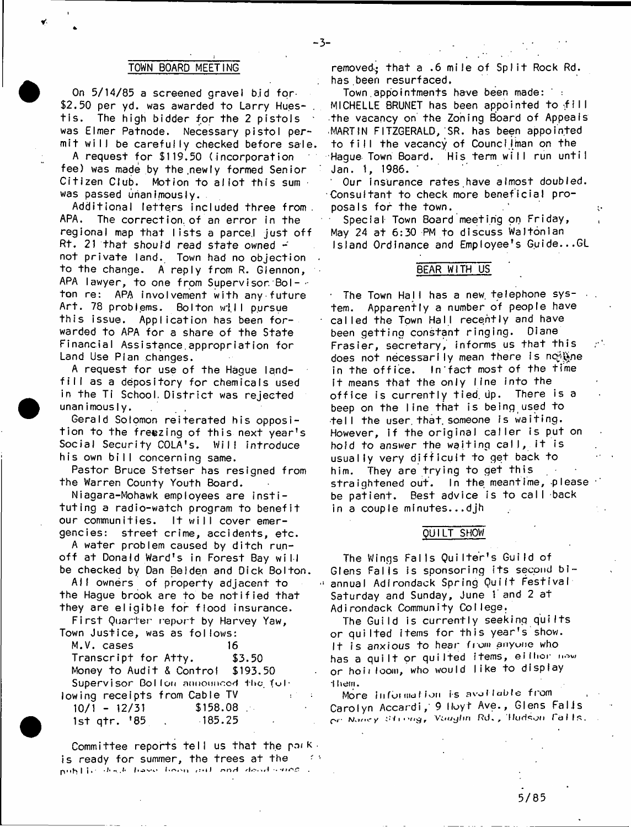#### TOWN BOARD MEETING

On 5/14/85 a screened gravel b,id for- \$2.50 per yd. was awarded to Larry Hues- . tis. The high bidder for the 2 pistols was Elmer Patnode. Necessary pistol permit will be carefully checked before sale, A request for \$119.50 ( incorporation fee) was made by the.newly formed Senior Citizen Club. Motion to allot this sum was passed unanimously.

Additional letters included three from. APA. The correct ion. of an error in the regional map that lists a parcel just off Rt. 21 that should read state owned  $\div$ not private land. Town had no objection to the change. A reply from R. Glennon, APA lawyer, to one from Supervisor Bolton re: APA involvement with any future Art. 78 problems. Bolton will pursue this issue. Application has been forwarded to APA for a share of the State Financial Assistance.appropriation for Land Use Plan changes.

A request for use of the Hague landfill as a depository for chemicals used in the Ti School, District was rejected  $unanimously.$ 

Gerald Solomon reiterated his opposition to the freezing of this next year's Social Security COLA's. Will introduce his own bill concerning same.

Pastor Bruce Stetser has resigned from the Warren County Youth Board.

Niagara-Mohawk employees are instituting a radio-watch program to benefit our communities. It will cover emergencies: street crime, accidents, etc.

A water problem caused by ditch runoff at Donald Ward's in Forest Bay will be checked by Dan Beiden and Dick Bolton.

All owners of property adjacent to the Hague brook are to be notified that they are eligible for flood insurance.

First Quarter report by Harvey Yaw, Town Justice, was as follows:

| M.V. cases                           | 16            |
|--------------------------------------|---------------|
| Transcript for Atty.                 | \$3.50        |
| Money to Audit & Control \$193.50    |               |
| Supervisor Bollon announced the ful- |               |
| lowing receipts from Cable TV        | $\mathcal{L}$ |
| $10/1 - 12/31$<br>\$158.08           |               |
| lst atr. '85 ,                       | 185.25        |

Committee reports tell us that the packis ready for summer, the trees at the  $\longrightarrow$ nublic duck have been all and dead sines

removed: that a .6 mile of Split Rock Rd. has been resurfaced.

Town.appointments have been made: MICHELLE BRUNET has been appointed to fill the vacancy on the Zoning Board of Appeals MARTIN FITZGERALD, SR. has been appointed to fill the vacancy of Councilman on the Hague Town Board. His term will run untiI Jan. 1, 1986.

Our insurance rates,have almost doubled. Consultant to check more beneficial proposals for the town.

Special Town Board meeting on Friday, May 24 at 6:30 PM to discuss Waltonian Island Ordinance and Employee's Guide...GL

#### BEAR WITH US

The Town Hall has a new telephone system. Apparently a number of people have called the Town Hall recently and have been getting constant ringing. Diane Frasier, secretary, informs us that this does not necessarily mean there is no have in the office. In'fact most of the time it means that the only Ifne into the office is currently tied. Up. There is a beep on the line that is being used to ■tell the user. that, someone is waiting. However, if the original caller is put on hold to *answer* the waiting call, it is usually very difficult to get back to him. They are trying to get this straightened out. In the meantime, please be patient. Best advice is to call back in a couple minutes...djh

#### QUILT SHOW

The Wings Falls QuiIter's Guild of Glens Falls is sponsoring its second biannual Adirondack Spring Quift Festival Saturday and Sunday, June 1 and 2 at Adirondack Community College.

The Guild is currently seeking quilts or quilted items for this year's show. It is anxious to hear\* from anyune who has a quilt or quilted items, eithor now or hoii loom, who would I ike to display them.

More information is available from Carolyn Accardi, 9 Hoyt Ave., Glens Falis On Nancy Strong, Vaughn Rd., Hudson falls.

-3-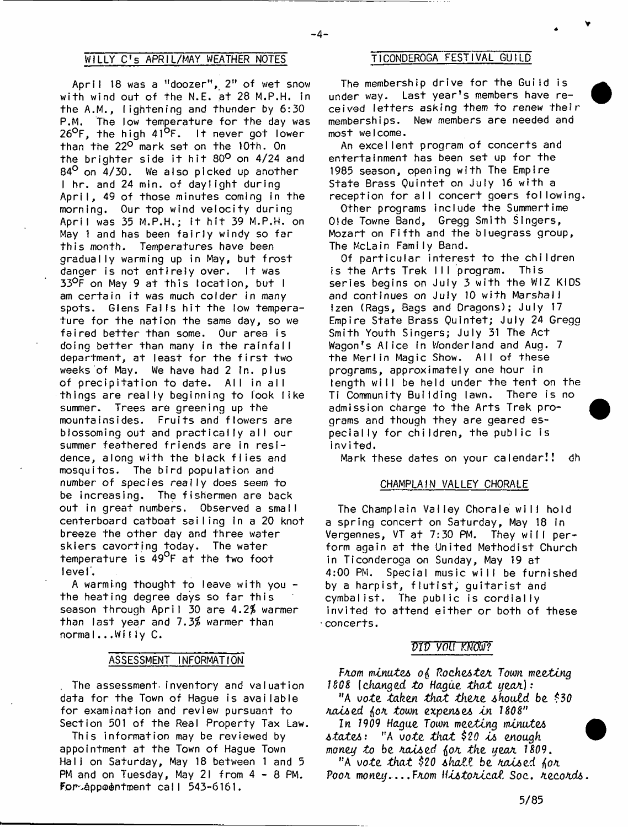# WILLY C's APRIL/MAY WEATHER NOTES TICONDEROGA FESTIVAL GUILD

 $-4-$ 

April 18 was a "doozer", 2" of wet snow with wind out of the N.E. at 28 M.P.H. in the A.M., lightening and thunder by 6:30 P.M. The low temperature for the day was 26°F, the high 41°F. It never got lower than the 22° mark set on the 10th. On the brighter side it hit 80° on 4/24 and 84<sup>°</sup> on 4/30. We also picked up another I hr. and 24 min. of daylight during April, 49 of those minutes coming in the morning. Our top wind velocity during April was 35 M.P.H.; it hit 39 M.P.H. on May 1 and has been fairly windy so far this month. Temperatures have been gradually warming up in May, but frost danger is not entirely over. It was 33°F on May 9 at this location, but I am certain it was much colder in many spots. Glens Falls hit the low temperature for the nation the same day, so we faired better than some. Our area is doing better than many in the rainfall department, at least for the first two weeks of May. We have had 2 in. plus of precipitation to date. All in all things are really beginning to look like summer. Trees are greening up the mountainsides. Fruits and flowers are blossoming out and practically all our summer feathered friends are in residence, along with the black flies and mosquitos. The bird population and number of species really does seem to be increasing. The fishermen are back out in great numbers. Observed a small centerboard catboat sailing In a 20 knot breeze the other day and three water skiers cavorting today. The water temperature is 49<sup>o</sup>f at the two foot I eve I'.

A warming thought to leave with you the heating degree days so far this season through April 30 are 4.2% warmer than last year and 7.3% warmer than normal...Willy C.

#### ASSESSMENT INFORMATION

. The assessment, inventory and valuation data for the Town of Hague is available for examination and review pursuant to Section 501 of the Real Property Tax Law.

This information may be reviewed by appointment at the Town of Hague Town Hall on Saturday, May 18 between 1 and 5 PM and on Tuesday, May 21 from 4 - 8 PM. For-appoentment call 543-6161.

The membership drive for the Guild is under way. Last year's members have received letters asking them to renew their memberships. New members are needed and most welcome.

An excel lent program of concerts and entertainment has been set up for the 1985 season, opening with The Empire State Brass Quintet on July 16 with a reception for all concert goers following.

Other programs include the Summertime Olde Towne Band, Gregg Smith Singers, Mozart on Fifth and the bluegrass group. The McLain Family Band.

Of particular interest to the children is the Arts Trek III program. This series begins on July 3 with the WIZ KIDS and continues on July 10 with Marshall Izen (Rags, Bags and Dragons); July 17 Empire State Brass Quintet; July 24 Gregg Smith Youth Singers; July 31 The Act Wagon's Alice in Wonderland and Aug. 7 the Merlin Magic Show. All of these programs, approximately one hour in length will be held under the tent on the Ti Community Building lawn. There is no admission charge to the Arts Trek programs and though they are geared especial ly for children, the public is invited.

Mark these dates on your calendar!! dh

#### CHAMPLAIN VALLEY CHORALE

The Champlain Valley Chorale will hold a spring concert on Saturday, May 18 In Vergennes, VT at 7:30 PM. They wifi perform again at the United Methodist Church in Ticonderoga on Sunday, May 19 at 4:00 PM. Special music will be furnished by a harpist, flutist, guitarist and cymbalist. The public is cordially invited to attend either or both of these concerts.

#### *DID YOU KNOW?*

*FA.om mtnute*a *PocheAteA. Tom meeting ISOS* (changed to Hague that year): "A *vote, taken that tkexz should be \$30 JiouUed faoK tom expend ca tn 1808*" In 1909 Haque Town meeting minutes *AtateA:* "A *vote th a t \$20 aa enough* money to be raised for the year 1809. " A *vote th a t \$20 Akatt* be *AatAed. fan*  $PooA$  money....From *Historical* Soc. *Aecords*.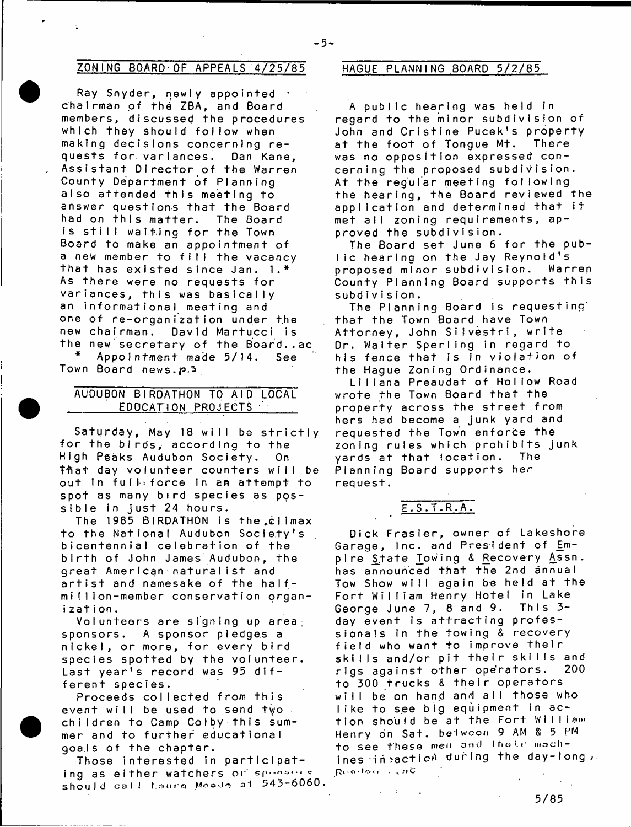# ZONING BOARD OF APPEALS 4/25/85 HAGUE PLANNING BOARD 5/2/85

Ray Snyder, newly appointed  $\cdot$ chairman of the ZBA, and Board members, discussed the procedures which they should follow when making decisions concerning requests for variances. Dan Kane, Assistant Director of the Warren County Department of Planning also attended this meeting to answer questions that the Board had on this matter. The Board is still walting for the Town Board to make an a ppointment of a new member to fill the vacancy that has existed since Jan.  $1.*$ As there were no requests for variances, this was basically an informational meeting and one of re-organization under the new chairman. David Martucci is the new secretary of the Board..ac<br>\* Appointment made 5/14 Sec. Appointment made 5/14. See

Town Board news.p.3

# AUDUBON BIRDATHON TO AID LOCAL EDOCATION PROJECTS ·

Saturday, May 18 will be strictly for the birds, according to the High Peaks Audubon Society. On that day volunteer counters will be out In full: force in an attempt to spot as many bird species as possible in just 24 hours.

The 1985 BIRDATHON is the cilmax to the National Audubon Society's bicentennial celebration of the birth of John James Audubon, the great American naturalist and artist and namesake of the halfm I !Iion-member conservation organization.

Volunteers are signing up area  $\cdot$ sponsors. A sponsor pledges a nickel, or more, for every bird species spotted by the volunteer. Last year's record was 95 different species.

Proceeds collected from this event will be used to send two. children to Camp Colby this summer and to further educational goals of the chapter.

Those interested in participating as either watchers or sponsors should call Laure Moode at 543-6060.

 $-5-$ 

A public hearing was held in regard to the minor subdivision of John and Cristine Pucek's property at the foot of Tongue Mt. There was no opposition expressed concerning the proposed subdivision. At the regular meeting following the hearing, the Board reviewed the application and determined that it met all zoning requirements, approved the subdivision.

The Board set June 6 for the public hearing on the Jay Reynold's<br>proposed minor subdivision. Warren proposed minor subdivision. County Planning Board supports this subdivision.

The Planning Board is requesting that the Town Board have Town Attorney, John Silvestri, write Dr. Walter Sperling in regard to his fence that is in violation of the Hague Zoning Ordinance.

Liliana Preaudat of Hollow Road wrote the Town Board that the property across the street from hers had become a junk yard and requested the Town enforce the zoning rules which prohibits junk yards at that location. The Planning Board supports her request.

# E.S.T.R.A.

Dick Frasier, owner of Lakeshore Garage, Inc. and President of Empire State Towing & Recovery Assn. has announced that the 2nd annual Tow Show will again be held at the Fort William Henry Hotel in Lake<br>George June 7, 8 and 9, This 3-George June  $7, 8$  and  $9.$ day event is attracting professionals in the towing & recovery field who want to improve their skills and/or pit their skills and rigs against other operators. 200 to 300 trucks & their operators will be on hand and all those who like to see big equipment in action should be at the Fort William Henry on Sat. between 9 AM & 5 PM to see these men and thele machines in raction during the day-long, Rundman CaC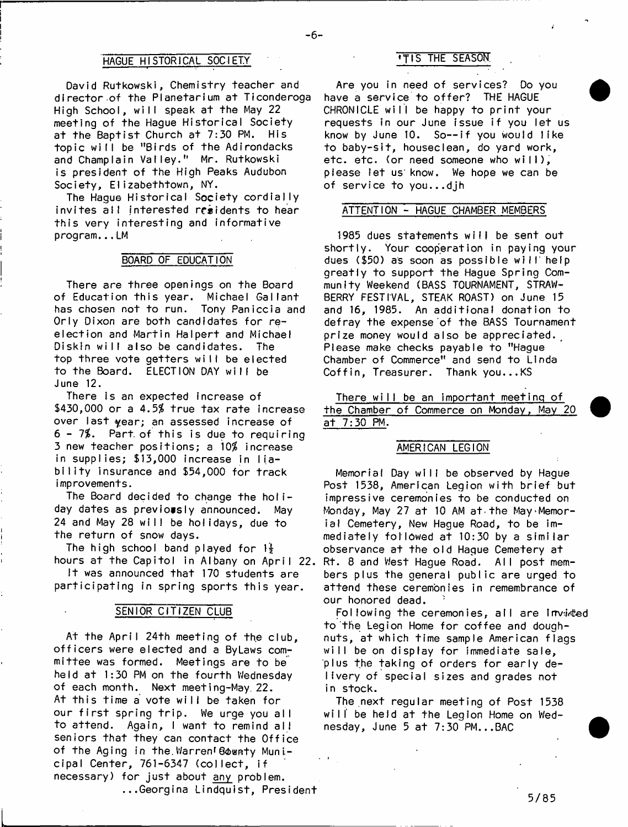# HAGUE HISTORICAL SOCIETY **THE SEASON**

David Rutkowski, Chemistry teacher and director of the Planetarium at Ticonderoga High School, will speak at the May 22 meeting of the Hague Historical Society at the Baptist Church at 7:30 PM. His topic will be "Birds of the Adirondacks and Champlain Valley." Mr. Rutkowski is president of the High Peaks Audubon Society, Elizabethtown, NY.

The Hague Historical Society cordially invites all interested residents to hear this very interesting and informative program...LM

#### BOARD OF EDUCATION

There are three openings on the Board of Education this year. Michael Gallant has chosen not to run. Tony Paniccla and Orly Dixon are both candidates for reelection and Martin Halpert and Michael Diskln will also be candidates. The top three vote getters will be elected to the Board. ELECTION DAY will be June 12.

There is an expected increase of  $$430,000$  or a  $4.5%$  true tax rate increase over last year; an assessed increase of  $6 - 7%$ . Part of this is due to requiring 3 new teacher positions; a 10% increase in supplies; \$13,000 increase in liability insurance and \$54,000 for track improvements.

The Board decided to change the holiday dates as previously announced. May 24 and May 28 will be holidays, due to the return of snow days.

The high school band played for  $1\frac{1}{2}$ hours at the Capitoi in Albany on April 22.

It was announced that 170 students are participating in spring sports this year.

#### SENIOR CITIZEN CLUB

At the April 24th meeting of the club. officers were elected and a ByLaws committee was formed. Meetings are to be held at 1:30 PM on the fourth Wednesday of each month. Next meeting-May. 22. At this time a vote will be taken for our first spring trip. We urge you all to attend. Again, I want to remind all seniors that they can contact the Office of the Aging in the Warren' Bownty Municipal Center, 761-6347 (collect, if necessary) for just about any problem. ...Georgina Lindquist, President

Are you in need of services? Do you have a service to offer? THE HAGUE CHRONICLE will be happy to print your requests in our June issue if you let us know by June 10. So— if you would like to baby-sit, houseclean, do yard work, etc. etc. (or need someone who will), please let us' know. We hope we can be of service to you...djh

#### ATTENTION - HAGUE CHAMBER MEMBERS

1985 dues statements will be sent out shortly. Your cooperation in paying your dues (\$50) as soon as possible will' help greatly to support the Hague Spring Community Weekend (BASS TOURNAMENT, STRAW-BERRY FESTIVAL, STEAK ROAST) on June 15 and 16, 1985. An additional donation to defray the expense of the BASS Tournament prize money would also be appreciated. Please make checks payable to "Hague Chamber of Commerce" and send to Linda Coffin, Treasurer. Thank you...KS

There will be an important meeting of the Chamber of Commerce on Monday, May 20 at 7:30 PM.

# AMERICAN LEGION

Memorial Day will be observed by Hague Post 1538, American Legion with brief but impressive ceremonies to be conducted on Monday, May 27 at 10 AM at the May Memorial Cemetery, New Hague Road, to be immediately followed at 10:30 by a similar observance at the old Hague Cemetery at Rt. 8 and West Hague Road. All post members plus the general public are urged to attend these ceremonies in remembrance of our honored dead.

Following the ceremonies, all are invided to the Legion Home for coffee and doughnuts, at which time sample American flags will be on display for immediate sale, plus the taking of orders for early delivery of special sizes and grades not in stock.

The next regular meeting of Post 1538 will' be held at the Legion Home on Wednesday, June 5 at 7:30 PM...BAC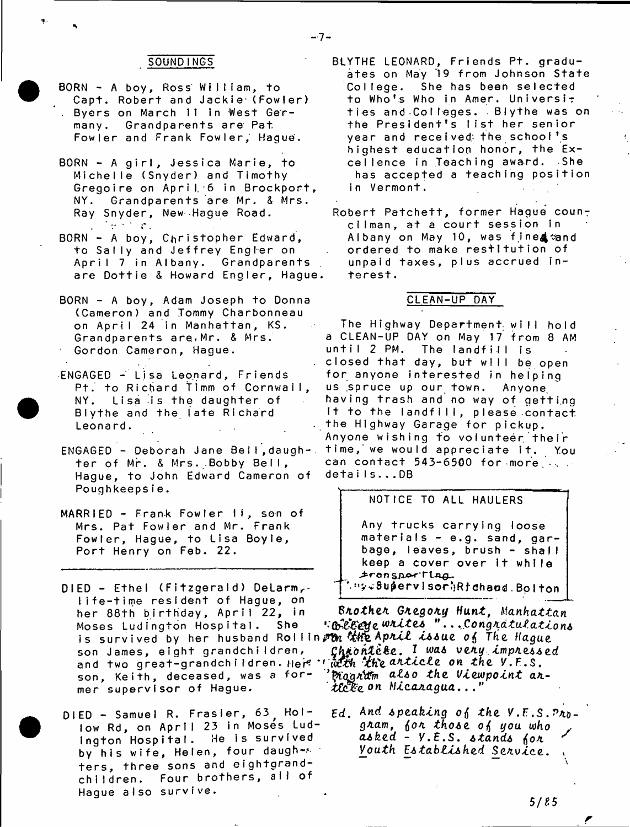# SOUND INGS

 $-7 -$ 

- BORN A boy, Ross William, to Capt. Robert and Jackie-(Fowler) . Byers on March 11 in West Germany. Grandparents are Pat Fowler and Frank Fowler, Hague'.
- BORN A girl, Jessica Marie, to Michelle (Snyder) and Timothy Gregoire on April 6 in Brockport, NY. Grandparents are Mr. & Mrs. Ray Snyder, New Hague Road.
- BORN A boy, Christopher Edward, to Sally and Jeffrey Engler on April 7 in Albany. Grandparents are Dottie & Howard Engler, Hague.
- BORN A boy, Adam Joseph to Donna (Cameron) and Tommy Charbonneau on April 24 in Manhattan, KS. Grandparents are. Mr. & Mrs. Gordon Cameron, Hague.
- ENGAGED Lisa Leonard, Friends Pt. to Richard Timm of Cornwall, NY. Lisa is the daughter of Blythe and the late Richard Leonard.
- ENGAGED Deborah Jane Bell, daugh-. ter of Mr. & Mrs. Bobby Bell, Hague, to John Edward Cameron of Poughkeepsie.
- MARRIED Frank Fowler II, son of Mrs. Pat Fowler and Mr. Frank Fowler, Hague, to Lisa Boyle, Port Henry on Feb. 22.
- $DIED Ethel (Fitzgerald) Delarm, -$ Iife-time resident of Hague, on her 88 th birthday, April 22, in Moses Ludington Hospital. She is survived by her husband Rollin*p on thi*e A*pril issue of The Hague* son James, eight grandchildren, and two great-grandchildren. Here '' with the anticle on the V.F.S. son, Keith, deceased, was a former supervisor of Hague.
- DIED Samuel R. Frasier, 63<sub>.</sub> Hollow Rd, on April 23 in Mosés Ludington Hospital. He is survived by his wife, Helen, four daugh-s ters, three sons and eightgrandchildren. Four brothers, all of Hague also survive.
- BLYTHE LEONARD, Friends Pt. graduates on May 19 from Johnson State College. She has been selected to Who's Who in Amer. Universit ties and Colleges. Blythe was on the President's list her senior year and received the school's highest education honor, the Excellence in Teaching award. She has accepted a teaching position in Vermont.
- Robert Patchett, former Hague councilman, at a court session in Albany on May 10, was fine& and ordered to make restitution of unpaid taxes, plus accrued interest.

## CLEAN-UP DAY

The Highway Department will hold a CLEAN-UP DAY on May 17 from 8 AM until 2 PM. The landfill is closed that day, but will be open for anyone interested in helping us .spruce up our town. Anyone, having trash and no way of getting It to the landfill, please contact the Highway Garage for pickup. Anyone wishing to volunteer their time, we would appreciate it. You can contact 543-6500 for more... details...DB

# NOTICE TO ALL HAULERS

Any trucks carrying loose materials - e.g. sand, garbage, leaves, brush - shall keep a cover over it while i r a n s/Lo-rTLxLQ^ ' w Supervisor (Rfchand Bolton)

8/t*otheM GMegoxy H unt*, *M anhattan* e " . . *,C ongM dtutatlon6 ChM.ofLte.tie.,* f wa4 *veMu tmpMe66ed* ^ q a / E & m *&l6o the Vtewpotnt* a/t*t£c%:e.on NtcAJtagua*. . . "

Ed. And speaking of the V.E.S.Pro*gMam*, *fioA tho6e you who* r *asked* - V.E.S. stands for *Vouth Ji6tablt6hed SeMvtce. \**

*f*